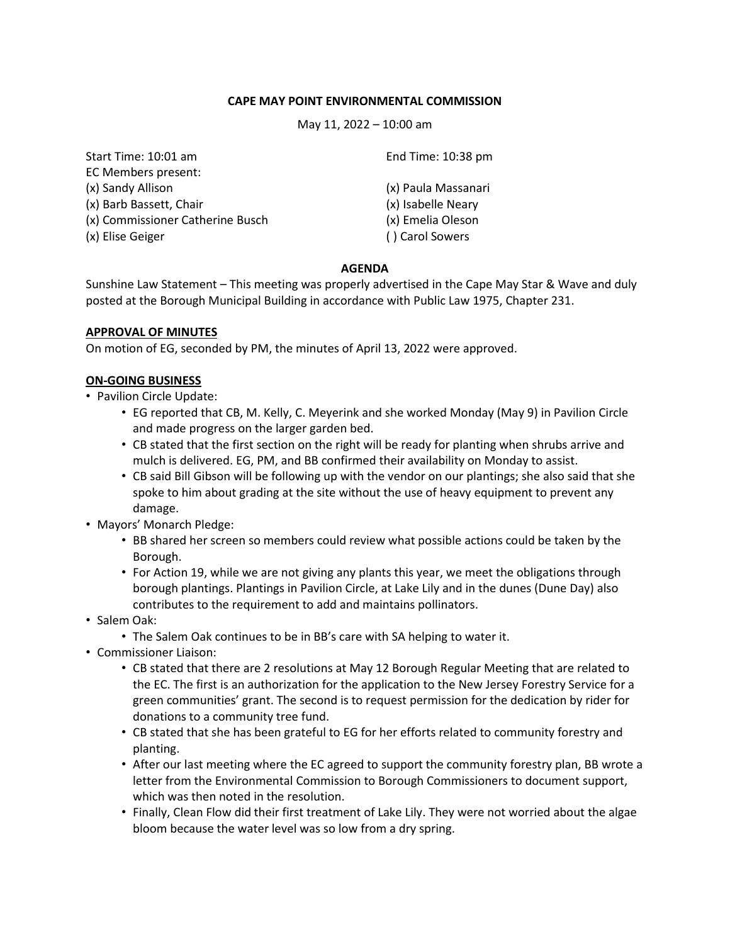### **CAPE MAY POINT ENVIRONMENTAL COMMISSION**

May 11, 2022 – 10:00 am

| Start Time: 10:01 am             | End Time: 10:38 pm  |
|----------------------------------|---------------------|
| EC Members present:              |                     |
| (x) Sandy Allison                | (x) Paula Massanari |
| (x) Barb Bassett, Chair          | (x) Isabelle Neary  |
| (x) Commissioner Catherine Busch | (x) Emelia Oleson   |
| (x) Elise Geiger                 | () Carol Sowers     |
|                                  |                     |

## **AGENDA**

Sunshine Law Statement – This meeting was properly advertised in the Cape May Star & Wave and duly posted at the Borough Municipal Building in accordance with Public Law 1975, Chapter 231.

### **APPROVAL OF MINUTES**

On motion of EG, seconded by PM, the minutes of April 13, 2022 were approved.

## **ON-GOING BUSINESS**

- Pavilion Circle Update:
	- EG reported that CB, M. Kelly, C. Meyerink and she worked Monday (May 9) in Pavilion Circle and made progress on the larger garden bed.
	- CB stated that the first section on the right will be ready for planting when shrubs arrive and mulch is delivered. EG, PM, and BB confirmed their availability on Monday to assist.
	- CB said Bill Gibson will be following up with the vendor on our plantings; she also said that she spoke to him about grading at the site without the use of heavy equipment to prevent any damage.
- Mayors' Monarch Pledge:
	- BB shared her screen so members could review what possible actions could be taken by the Borough.
	- For Action 19, while we are not giving any plants this year, we meet the obligations through borough plantings. Plantings in Pavilion Circle, at Lake Lily and in the dunes (Dune Day) also contributes to the requirement to add and maintains pollinators.
- Salem Oak:
	- The Salem Oak continues to be in BB's care with SA helping to water it.
- Commissioner Liaison:
	- CB stated that there are 2 resolutions at May 12 Borough Regular Meeting that are related to the EC. The first is an authorization for the application to the New Jersey Forestry Service for a green communities' grant. The second is to request permission for the dedication by rider for donations to a community tree fund.
	- CB stated that she has been grateful to EG for her efforts related to community forestry and planting.
	- After our last meeting where the EC agreed to support the community forestry plan, BB wrote a letter from the Environmental Commission to Borough Commissioners to document support, which was then noted in the resolution.
	- Finally, Clean Flow did their first treatment of Lake Lily. They were not worried about the algae bloom because the water level was so low from a dry spring.